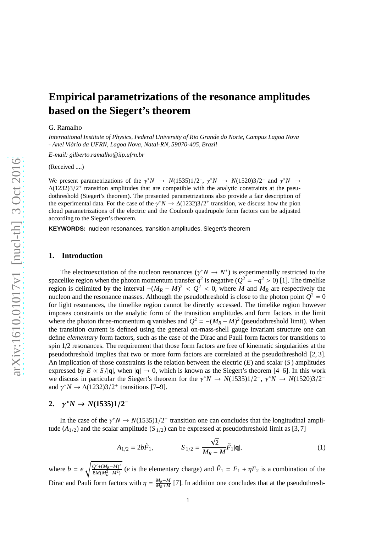# **Empirical parametrizations of the resonance amplitudes based on the Siegert's theorem**

#### G. Ramalho

*International Institute of Physics, Federal University of Rio Grande do Norte, Campus Lagoa Nova - Anel Vi´ario da UFRN, Lagoa Nova, Natal-RN, 59070-405, Brazil*

*E-mail: gilberto.ramalho@iip.ufrn.br*

(Received ....)

We present parametrizations of the  $\gamma^* N \to N(1535)1/2^-$ ,  $\gamma^* N \to N(1520)3/2^-$  and  $\gamma^* N \to N(1520)3/2^-$ ∆(1232)3/2<sup>+</sup> transition amplitudes that are compatible with the analytic constraints at the pseudothreshold (Siegert's theorem). The presented parametrizations also provide a fair description of the experimental data. For the case of the  $\gamma^* N \to \Delta(1232)3/2^+$  transition, we discuss how the pion cloud parametrizations of the electric and the Coulomb quadrupole form factors can be adjusted according to the Siegert's theorem.

**KEYWORDS:** nucleon resonances, transition amplitudes, Siegert's theorem

#### **1. Introduction**

The electroexcitation of the nucleon resonances ( $\gamma^* N \to N^*$ ) is experimentally restricted to the spacelike region when the photon momentum transfer  $q^2$  is negative  $(Q^2 = -q^2 > 0)$  [1]. The timelike region is delimited by the interval  $-(M_R - M)^2 < Q^2 < 0$ , where *M* and  $M_R$  are respectively the nucleon and the resonance masses. Although the pseudothreshold is close to the photon point  $Q^2 = 0$ for light resonances, the timelike region cannot be directly accessed. The timelike region however imposes constraints on the analytic form of the transition amplitudes and form factors in the limit where the photon three-momentum **q** vanishes and  $Q^2 = -(M_R - M)^2$  (pseudothreshold limit). When the transition current is defined using the general on-mass-shell gauge invariant structure one can define *elementary* form factors, such as the case of the Dirac and Pauli form factors for transitions to spin 1/2 resonances. The requirement that those form factors are free of kinematic singularities at the pseudothreshold implies that two or more form factors are correlated at the pseudothreshold [2, 3]. An implication of those constraints is the relation between the electric (*E*) and scalar (*S* ) amplitudes expressed by  $E \propto S/|\mathbf{q}|$ , when  $|\mathbf{q}| \to 0$ , which is known as the Siegert's theorem [4–6]. In this work we discuss in particular the Siegert's theorem for the  $\gamma^* N \to N(1535)1/2^-$ ,  $\gamma^* N \to N(1520)3/2^$ and  $\gamma^* N \to \Delta(1232)3/2^+$  transitions [7–9].

### 2.  $\gamma^* N \to N(1535)1/2^-$

In the case of the  $\gamma^* N \to N(1535)1/2^-$  transition one can concludes that the longitudinal amplitude  $(A_{1/2})$  and the scalar amplitude  $(S_{1/2})$  can be expressed at pseudothreshold limit as [3,7]

<span id="page-0-0"></span>
$$
A_{1/2} = 2b\tilde{F}_1, \qquad S_{1/2} = \frac{\sqrt{2}}{M_R - M} \tilde{F}_1 |\mathbf{q}|,\tag{1}
$$

where  $b = e \sqrt{\frac{Q^2 + (M_R - M)^2}{8M(M^2 - M^2)}}$  $\frac{Q^2 + (M_R - M)^2}{8M(M_R^2 - M^2)}$  (*e* is the elementary charge) and  $\tilde{F}_1 = F_1 + \eta F_2$  is a combination of the Dirac and Pauli form factors with  $\eta = \frac{M_R - M}{M_R + M}$  [7]. In addition one concludes that at the pseudothresh-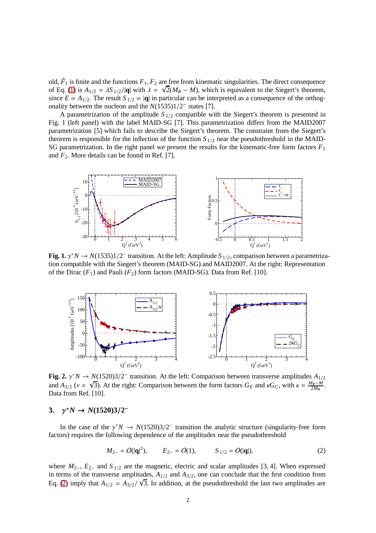old,  $\tilde{F}_1$  is finite and the functions  $F_1, F_2$  are free from kinematic singularities. The direct consequence of Eq. [\(1\)](#page-0-0) is  $A_{1/2} = \lambda S_{1/2}/|\mathbf{q}|$  with  $\lambda = \sqrt{2}(M_R - M)$ , which is equivalent to the Siegert's theorem, since  $E \propto A_{1/2}$ . The result  $S_{1/2} \propto |\mathbf{q}|$  in particular can be interpreted as a consequence of the orthogonality between the nucleon and the  $N(1535)1/2^-$  states [7].

A parametrization of the amplitude  $S_{1/2}$  compatible with the Siegert's theorem is presented in Fig. 1 (left panel) with the label MAID-SG [7]. This parametrization differs from the MAID2007 parametrization [5] which fails to describe the Siegert's theorem. The constraint from the Siegert's theorem is responsible for the inflection of the function  $S_{1/2}$  near the pseudothreshold in the MAID-SG parametrization. In the right panel we present the results for the kinematic-free form factors *F*<sup>1</sup> and *F*2. More details can be found in Ref. [7].



**Fig. 1.**  $\gamma^* N \to N(1535)1/2^-$  transition. At the left: Amplitude  $S_{1/2}$ , comparison between a parametrization compatible with the Siegert's theorem (MAID-SG) and MAID2007. At the right: Representation of the Dirac  $(F_1)$  and Pauli  $(F_2)$  form factors (MAID-SG). Data from Ref. [10].



**Fig. 2.**  $\gamma^* N \to N(1520)3/2^-$  transition. At the left: Comparison between transverse amplitudes  $A_{1/2}$ and  $A_{3/2}$  ( $v = \sqrt{3}$ ). At the right: Comparison between the form factors  $G_E$  and  $\kappa G_C$ , with  $\kappa = \frac{M_R - M}{2M_R}$ . Data from Ref. [10].

### **3.** γ <sup>∗</sup>*N* → *N***(1520)3**/**2** −

In the case of the  $\gamma^* N \to N(1520)3/2^-$  transition the analytic structure (singularity-free form factors) requires the following dependence of the amplitudes near the pseudothreshold

<span id="page-1-0"></span>
$$
M_{2-} = O(|\mathbf{q}|^2),
$$
  $E_{2-} = O(1),$   $S_{1/2} = O(|\mathbf{q}|),$  (2)

where *M*<sub>2−</sub>, *E*<sub>2−</sub> and *S*<sub>1/2</sub> are the magnetic, electric and scalar amplitudes [3, 4]. When expressed in terms of the transverse amplitudes,  $A_{1/2}$  and  $A_{3/2}$ , one can conclude that the first condition from Eq. [\(2\)](#page-1-0) imply that  $A_{1/2} = A_{3/2}/\sqrt{3}$ . In addition, at the pseudothreshold the last two amplitudes are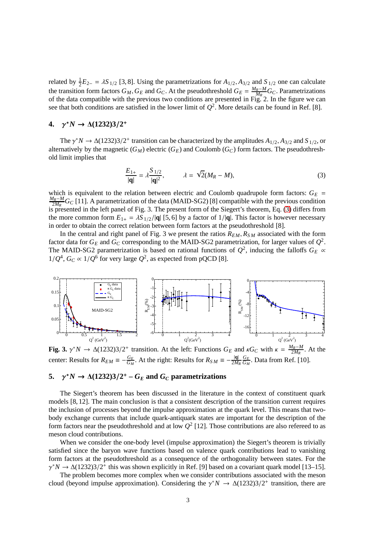related by  $\frac{1}{2}E_{2-} = \lambda S_{1/2}$  [3, 8]. Using the parametrizations for  $A_{1/2}$ ,  $A_{3/2}$  and  $S_{1/2}$  one can calculate the transition form factors  $G_M$ ,  $G_E$  and  $G_C$ . At the pseudothreshold  $G_E = \frac{M_R - M}{M_R} G_C$ . Parametrizations of the data compatible with the previous two conditions are presented in Fig. 2. In the figure we can see that both conditions are satisfied in the lower limit of  $Q^2$ . More details can be found in Ref. [8].

### **4.** γ <sup>∗</sup>*N* → ∆**(1232)3**/**2** +

The  $\gamma^* N \to \Delta(1232)3/2^+$  transition can be characterized by the amplitudes  $A_{1/2}, A_{3/2}$  and  $S_{1/2}$ , or alternatively by the magnetic  $(G_M)$  electric  $(G_E)$  and Coulomb  $(G_C)$  form factors. The pseudothreshold limit implies that

<span id="page-2-0"></span>
$$
\frac{E_{1+}}{|q|} = \lambda \frac{S_{1/2}}{|q|^2}, \qquad \lambda = \sqrt{2}(M_R - M), \tag{3}
$$

which is equivalent to the relation between electric and Coulomb quadrupole form factors:  $G_E$  =  $\frac{M_R-M}{2M_R}$  *G*<sub>*C*</sub> [11]. A parametrization of the data (MAID-SG2) [8] compatible with the previous condition is presented in the left panel of Fig. 3. The present form of the Siegert's theorem, Eq. [\(3\)](#page-2-0) differs from the more common form  $E_{1+} = \lambda S_{1/2}/|\mathbf{q}|$  [5, 6] by a factor of  $1/|\mathbf{q}|$ . This factor is however necessary in order to obtain the correct relation between form factors at the pseudothreshold [8].

In the central and right panel of Fig. 3 we present the ratios  $R_{EM}$ ,  $R_{SM}$  associated with the form factor data for  $G_E$  and  $G_C$  corresponding to the MAID-SG2 parametrization, for larger values of  $Q^2$ . The MAID-SG2 parametrization is based on rational functions of  $Q^2$ , inducing the falloffs  $G_E \propto$  $1/Q^4$ ,  $G_C \propto 1/Q^6$  for very large  $Q^2$ , as expected from pQCD [8].



**Fig. 3.**  $\gamma^* N \to \Delta(1232)3/2^+$  transition. At the left: Functions  $G_E$  and  $\kappa G_C$  with  $\kappa = \frac{M_R - M}{2M_R}$ . At the center: Results for  $R_{EM} \equiv -\frac{G_E}{G_M}$ . At the right: Results for  $R_{SM} \equiv -\frac{|q|}{2M_R}$ *G<sup>E</sup>*  $\frac{G_E}{G_M}$ . Data from Ref. [10].

## 5.  $\gamma^* N \to \Delta(1232)3/2^+ - G_E$  and  $G_C$  parametrizations

The Siegert's theorem has been discussed in the literature in the context of constituent quark models [8, 12]. The main conclusion is that a consistent description of the transition current requires the inclusion of processes beyond the impulse approximation at the quark level. This means that twobody exchange currents that include quark-antiquark states are important for the description of the form factors near the pseudothreshold and at low *Q* 2 [12]. Those contributions are also refereed to as meson cloud contributions.

When we consider the one-body level (impulse approximation) the Siegert's theorem is trivially satisfied since the baryon wave functions based on valence quark contributions lead to vanishing form factors at the pseudothreshold as a consequence of the orthogonality between states. For the  $\gamma^* N \rightarrow \Delta(1232)3/2^+$  this was shown explicitly in Ref. [9] based on a covariant quark model [13–15].

The problem becomes more complex when we consider contributions associated with the meson cloud (beyond impulse approximation). Considering the  $\gamma^* N \to \Delta(1232)3/2^+$  transition, there are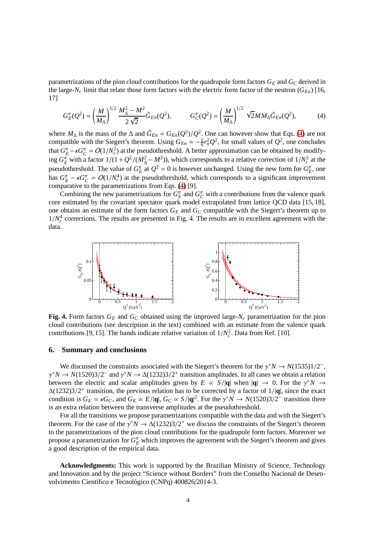parametrizations of the pion cloud contributions for the quadrupole form factors  $G_E$  and  $G_C$  derived in the large- $N_c$  limit that relate those form factors with the electric form factor of the neutron ( $G_{En}$ ) [16, 17]

<span id="page-3-0"></span>
$$
G_E^{\pi}(Q^2) = \left(\frac{M}{M_{\Delta}}\right)^{3/2} \frac{M_{\Delta}^2 - M^2}{2\sqrt{2}} \tilde{G}_{En}(Q^2), \qquad G_C^{\pi}(Q^2) = \left(\frac{M}{M_{\Delta}}\right)^{1/2} \sqrt{2} M M_{\Delta} \tilde{G}_{En}(Q^2), \tag{4}
$$

where  $M_{\Delta}$  is the mass of the  $\Delta$  and  $\tilde{G}_{En} = G_{En}(Q^2)/Q^2$ . One can however show that Eqs. [\(4\)](#page-3-0) are not compatible with the Siegert's theorem. Using  $G_{En} \simeq -\frac{1}{6}r_n^2Q^2$ , for small values of  $Q^2$ , one concludes that  $G_E^{\pi} - \kappa G_C^{\pi} = O(1/N_c^2)$  at the pseudothreshold. A better approximation can be obtained by modifying  $G_E^{\pi}$  with a factor  $1/(1+Q^2/(M_{\Delta}^2-M^2))$ , which corresponds to a relative correction of  $1/N_c^2$  at the pseudothreshold. The value of  $G_E^{\pi}$  at  $Q^2 = 0$  is however unchanged. Using the new form for  $G_E^{\pi}$ , one has  $G_E^{\pi} - \kappa G_C^{\pi} = O(1/N_c^4)$  at the pseudothreshold, which corresponds to a significant improvement comparative to the parametrizations from Eqs. [\(4\)](#page-3-0) [9].

Combining the new parametrizations for  $G_E^{\pi}$  and  $G_C^{\pi}$  with a contributions from the valence quark core estimated by the covariant spectator quark model extrapolated from lattice QCD data [15, 18], one obtains an estimate of the form factors  $G_E$  and  $G_C$  compatible with the Siegert's theorem up to  $1/N_c^4$  corrections. The results are presented in Fig. 4. The results are in excellent agreement with the data.



**Fig. 4.** Form factors *G<sup>E</sup>* and *G<sup>C</sup>* obtained using the improved large-*N<sup>c</sup>* parametrization for the pion cloud contributions (see description in the text) combined with an estimate from the valence quark contributions [9, 15]. The bands indicate relative variation of  $1/N_c^2$ . Data from Ref. [10].

### **6. Summary and conclusions**

We discussed the constraints associated with the Siegert's theorem for the  $\gamma^* N \to N(1535)1/2^-$ ,  $\gamma^* N \to N(1520)3/2^-$  and  $\gamma^* N \to \Delta(1232)3/2^+$  transition amplitudes. In all cases we obtain a relation between the electric and scalar amplitudes given by  $E \propto S/|\mathbf{q}|$  when  $|\mathbf{q}| \to 0$ . For the  $\gamma^* N \to$ ∆(1232)3/2 + transition, the previous relation has to be corrected by a factor of 1/|**q**|, since the exact condition is  $G_E = \kappa G_C$ , and  $G_E \propto E/|\mathbf{q}|$ ,  $G_C \propto S/|\mathbf{q}|^2$ . For the  $\gamma^* N \to N(1520)3/2^-$  transition there is an extra relation between the transverse amplitudes at the pseudothreshold.

For all the transitions we propose parametrizations compatible with the data and with the Siegert's theorem. For the case of the  $\gamma^* N \to \Delta(1232)3/2^+$  we discuss the constraints of the Siegert's theorem to the parametrizations of the pion cloud contributions for the quadrupole form factors. Moreover we propose a parametrization for  $G_E^{\pi}$  which improves the agreement with the Siegert's theorem and gives a good description of the empirical data.

**Acknowledgments:** This work is supported by the Brazilian Ministry of Science, Technology and Innovation and by the project "Science without Borders" from the Conselho Nacional de Desenvolvimento Científico e Tecnológico (CNPq) 400826/2014-3.